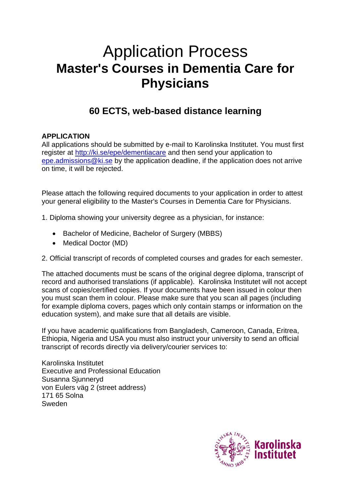# Application Process **Master's Courses in Dementia Care for Physicians**

## **60 ECTS, web-based distance learning**

### **APPLICATION**

All applications should be submitted by e-mail to Karolinska Institutet. You must first register at [http://ki.se/epe/dementiacare](https://education.ki.se/masters-courses-in-dementia-care) and then send your application to [epe.admissions@ki.se](mailto:epe.admissions@ki.se) by the application deadline, if the application does not arrive on time, it will be rejected.

Please attach the following required documents to your application in order to attest your general eligibility to the Master's Courses in Dementia Care for Physicians.

1. Diploma showing your university degree as a physician, for instance:

- Bachelor of Medicine, Bachelor of Surgery (MBBS)
- Medical Doctor (MD)
- 2. Official transcript of records of completed courses and grades for each semester.

The attached documents must be scans of the original degree diploma, transcript of record and authorised translations (if applicable). Karolinska Institutet will not accept scans of copies/certified copies. If your documents have been issued in colour then you must scan them in colour. Please make sure that you scan all pages (including for example diploma covers, pages which only contain stamps or information on the education system), and make sure that all details are visible.

If you have academic qualifications from Bangladesh, Cameroon, Canada, Eritrea, Ethiopia, Nigeria and USA you must also instruct your university to send an official transcript of records directly via delivery/courier services to:

Karolinska Institutet Executive and Professional Education Susanna Siunnervd von Eulers väg 2 (street address) 171 65 Solna Sweden

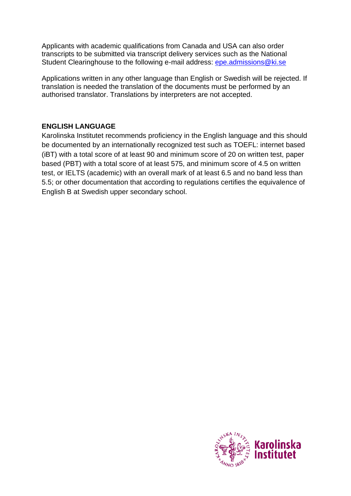Applicants with academic qualifications from Canada and USA can also order transcripts to be submitted via transcript delivery services such as the National Student Clearinghouse to the following e-mail address: [epe.admissions@ki.se](mailto:epe.admissions@ki.se)

Applications written in any other language than English or Swedish will be rejected. If translation is needed the translation of the documents must be performed by an authorised translator. Translations by interpreters are not accepted.

#### **ENGLISH LANGUAGE**

Karolinska Institutet recommends proficiency in the English language and this should be documented by an internationally recognized test such as TOEFL: internet based (iBT) with a total score of at least 90 and minimum score of 20 on written test, paper based (PBT) with a total score of at least 575, and minimum score of 4.5 on written test, or IELTS (academic) with an overall mark of at least 6.5 and no band less than 5.5; or other documentation that according to regulations certifies the equivalence of English B at Swedish upper secondary school.